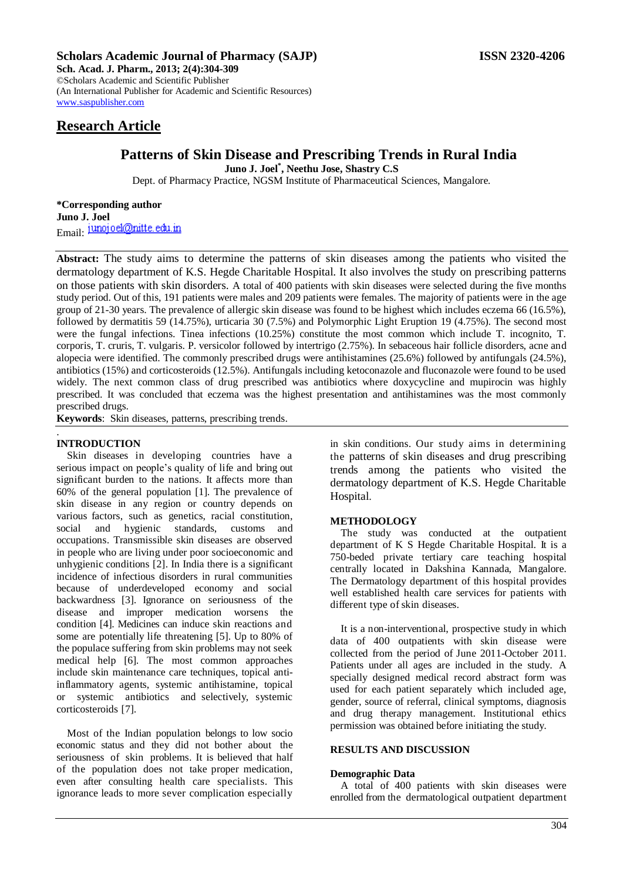## **Scholars Academic Journal of Pharmacy (SAJP) ISSN 2320-4206**

**Sch. Acad. J. Pharm., 2013; 2(4):304-309** ©Scholars Academic and Scientific Publisher (An International Publisher for Academic and Scientific Resources) [www.saspublisher.com](http://www.saspublisher.com/) 

# **Research Article**

# **Patterns of Skin Disease and Prescribing Trends in Rural India**

**Juno J. Joel\* , Neethu Jose, Shastry C.S**

Dept. of Pharmacy Practice, NGSM Institute of Pharmaceutical Sciences, Mangalore.

**\*Corresponding author Juno J. Joel** Email: junoj oel@nitte.edu.in

**Abstract:** The study aims to determine the patterns of skin diseases among the patients who visited the dermatology department of K.S. Hegde Charitable Hospital. It also involves the study on prescribing patterns on those patients with skin disorders. A total of 400 patients with skin diseases were selected during the five months study period. Out of this, 191 patients were males and 209 patients were females. The majority of patients were in the age group of 21-30 years. The prevalence of allergic skin disease was found to be highest which includes eczema 66 (16.5%), followed by dermatitis 59 (14.75%), urticaria 30 (7.5%) and Polymorphic Light Eruption 19 (4.75%). The second most were the fungal infections. Tinea infections (10.25%) constitute the most common which include T. incognito, T. corporis, T. cruris, T. vulgaris. P. versicolor followed by intertrigo (2.75%). In sebaceous hair follicle disorders, acne and alopecia were identified. The commonly prescribed drugs were antihistamines (25.6%) followed by antifungals (24.5%), antibiotics (15%) and corticosteroids (12.5%). Antifungals including ketoconazole and fluconazole were found to be used widely. The next common class of drug prescribed was antibiotics where doxycycline and mupirocin was highly prescribed. It was concluded that eczema was the highest presentation and antihistamines was the most commonly prescribed drugs.

**Keywords**: Skin diseases, patterns, prescribing trends.

#### . **INTRODUCTION**

Skin diseases in developing countries have a serious impact on people's quality of life and bring out significant burden to the nations. It affects more than 60% of the general population [1]. The prevalence of skin disease in any region or country depends on various factors, such as genetics, racial constitution, social and hygienic standards, customs and occupations. Transmissible skin diseases are observed in people who are living under poor socioeconomic and unhygienic conditions [2]. In India there is a significant incidence of infectious disorders in rural communities because of underdeveloped economy and social backwardness [3]. Ignorance on seriousness of the disease and improper medication worsens the condition [4]. Medicines can induce skin reactions and some are potentially life threatening [5]. Up to 80% of the populace suffering from skin problems may not seek medical help [6]. The most common approaches include skin maintenance care techniques, topical antiinflammatory agents, systemic antihistamine, topical or systemic antibiotics and selectively, systemic corticosteroids [7].

Most of the Indian population belongs to low socio economic status and they did not bother about the seriousness of skin problems. It is believed that half of the population does not take proper medication, even after consulting health care specialists. This ignorance leads to more sever complication especially

in skin conditions. Our study aims in determining the patterns of skin diseases and drug prescribing trends among the patients who visited the dermatology department of K.S. Hegde Charitable Hospital.

### **METHODOLOGY**

The study was conducted at the outpatient department of K S Hegde Charitable Hospital. It is a 750-beded private tertiary care teaching hospital centrally located in Dakshina Kannada, Mangalore. The Dermatology department of this hospital provides well established health care services for patients with different type of skin diseases.

It is a non-interventional, prospective study in which data of 400 outpatients with skin disease were collected from the period of June 2011-October 2011. Patients under all ages are included in the study. A specially designed medical record abstract form was used for each patient separately which included age, gender, source of referral, clinical symptoms, diagnosis and drug therapy management. Institutional ethics permission was obtained before initiating the study.

# **RESULTS AND DISCUSSION**

### **Demographic Data**

A total of 400 patients with skin diseases were enrolled from the dermatological outpatient department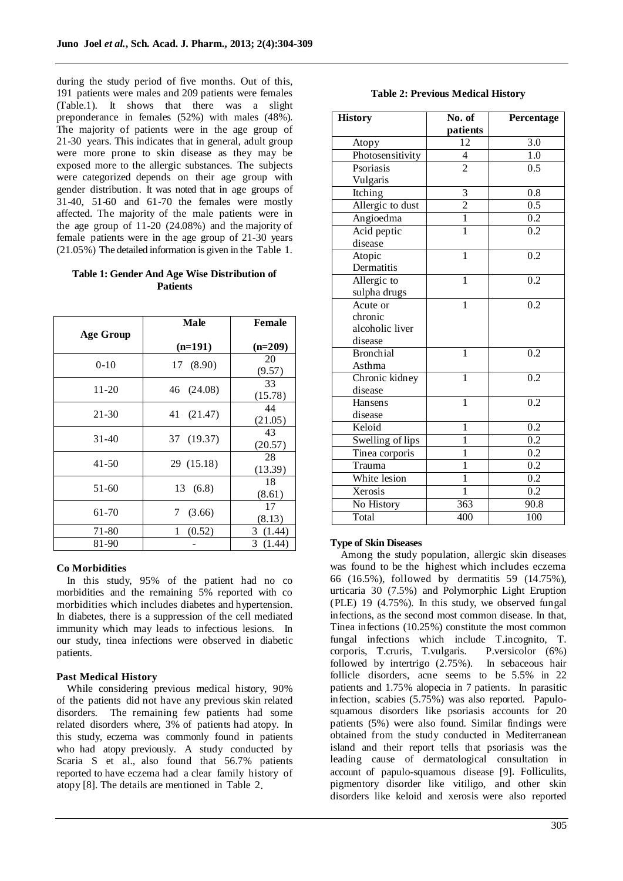during the study period of five months. Out of this, 191 patients were males and 209 patients were females (Table.1). It shows that there was a slight preponderance in females (52%) with males (48%). The majority of patients were in the age group of 21-30 years. This indicates that in general, adult group were more prone to skin disease as they may be exposed more to the allergic substances. The subjects were categorized depends on their age group with gender distribution. It was noted that in age groups of  $31-40$ ,  $51-60$  and  $61-70$  the females were mostly affected. The majority of the male patients were in the age group of 11-20 (24.08%) and the majority of female patients were in the age group of 21-30 years (21.05%) The detailed information is given in the Table 1.

## **Table 1: Gender And Age Wise Distribution of Patients**

|                  | <b>Male</b> | Female        |
|------------------|-------------|---------------|
| <b>Age Group</b> |             |               |
|                  | $(n=191)$   | $(n=209)$     |
| $0 - 10$         | 17 (8.90)   | 20<br>(9.57)  |
| 11-20            | 46 (24.08)  | 33<br>(15.78) |
| 21-30            | 41 (21.47)  | 44<br>(21.05) |
| $31 - 40$        | 37 (19.37)  | 43<br>(20.57) |
| 41-50            | 29 (15.18)  | 28<br>(13.39) |
| 51-60            | 13 (6.8)    | 18<br>(8.61)  |
| 61-70            | 7<br>(3.66) | 17<br>(8.13)  |
| 71-80            | 1<br>(0.52) | 3(1.44)       |
| 81-90            |             | 3<br>(1.44)   |

# **Co Morbidities**

In this study, 95% of the patient had no co morbidities and the remaining 5% reported with co morbidities which includes diabetes and hypertension. In diabetes, there is a suppression of the cell mediated immunity which may leads to infectious lesions. In our study, tinea infections were observed in diabetic patients.

# **Past Medical History**

While considering previous medical history, 90% of the patients did not have any previous skin related disorders. The remaining few patients had some related disorders where, 3% of patients had atopy. In this study, eczema was commonly found in patients who had atopy previously. A study conducted by Scaria S et al., also found that 56.7% patients reported to have eczema had a clear family history of atopy [8]. The details are mentioned in Table 2.

# **Table 2: Previous Medical History**

| <b>History</b>   | No. of         | Percentage       |
|------------------|----------------|------------------|
|                  | patients       |                  |
| Atopy            | 12             | 3.0              |
| Photosensitivity | $\overline{4}$ | 1.0              |
| Psoriasis        | $\overline{2}$ | $\overline{0.5}$ |
| Vulgaris         |                |                  |
| Itching          | $\overline{3}$ | 0.8              |
| Allergic to dust | $\overline{2}$ | 0.5              |
| Angioedma        | $\overline{1}$ | 0.2              |
| Acid peptic      | $\overline{1}$ | $\overline{0.2}$ |
| disease          |                |                  |
| Atopic           | $\overline{1}$ | $\overline{0.2}$ |
| Dermatitis       |                |                  |
| Allergic to      | $\mathbf{1}$   | 0.2              |
| sulpha drugs     |                |                  |
| Acute or         | 1              | 0.2              |
| chronic          |                |                  |
| alcoholic liver  |                |                  |
| disease          |                |                  |
| <b>Bronchial</b> | $\mathbf{1}$   | 0.2              |
| Asthma           |                |                  |
| Chronic kidney   | $\overline{1}$ | 0.2              |
| disease          |                |                  |
| Hansens          | $\mathbf{1}$   | 0.2              |
| disease          |                |                  |
| Keloid           | $\mathbf{1}$   | $\overline{0.2}$ |
| Swelling of lips | 1              | 0.2              |
| Tinea corporis   | $\mathbf 1$    | 0.2              |
| Trauma           | $\overline{1}$ | $\overline{0.2}$ |
| White lesion     | $\overline{1}$ | 0.2              |
| Xerosis          | $\overline{1}$ | 0.2              |
| No History       | 363            | 90.8             |
| Total            | 400            | 100              |

# **Type of Skin Diseases**

Among the study population, allergic skin diseases was found to be the highest which includes eczema 66 (16.5%), followed by dermatitis 59 (14.75%), urticaria 30 (7.5%) and Polymorphic Light Eruption (PLE) 19 (4.75%). In this study, we observed fungal infections, as the second most common disease. In that, Tinea infections (10.25%) constitute the most common fungal infections which include T.incognito, T. corporis, T.cruris, T.vulgaris. P.versicolor (6%) followed by intertrigo (2.75%). In sebaceous hair follicle disorders, acne seems to be 5.5% in 22 patients and 1.75% alopecia in 7 patients. In parasitic infection, scabies (5.75%) was also reported. Papulosquamous disorders like psoriasis accounts for 20 patients (5%) were also found. Similar findings were obtained from the study conducted in Mediterranean island and their report tells that psoriasis was the leading cause of dermatological consultation in account of papulo-squamous disease [9]. Folliculits, pigmentory disorder like vitiligo, and other skin disorders like keloid and xerosis were also reported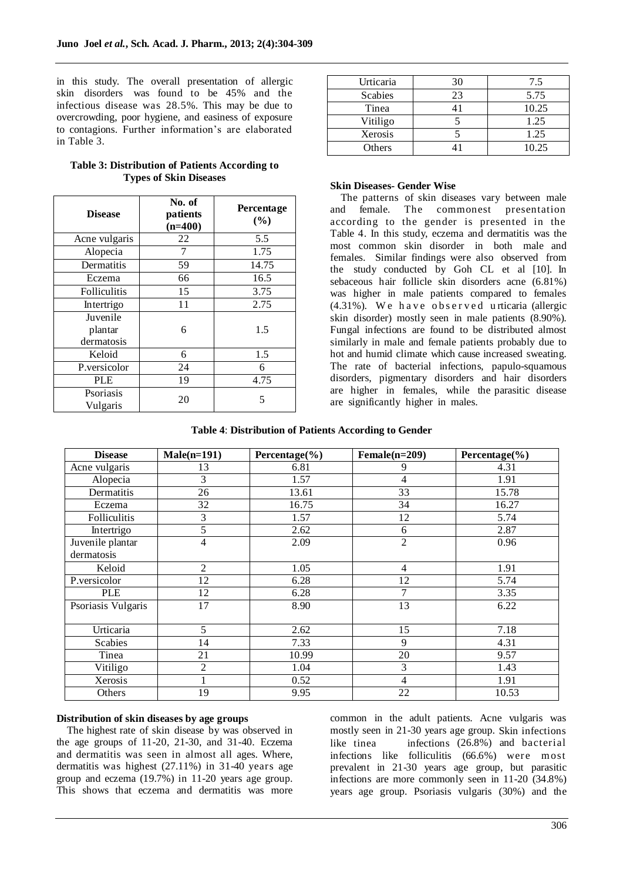in this study. The overall presentation of allergic skin disorders was found to be 45% and the infectious disease was 28.5%. This may be due to overcrowding, poor hygiene, and easiness of exposure to contagions. Further information's are elaborated in Table 3.

| <b>Disease</b>        | No. of<br>patients<br>$(n=400)$ | Percentage<br>(%) |
|-----------------------|---------------------------------|-------------------|
| Acne vulgaris         | 22                              | 5.5               |
| Alopecia              | 7                               | 1.75              |
| Dermatitis            | 59                              | 14.75             |
| Eczema                | 66                              | 16.5              |
| Folliculitis          | 15                              | 3.75              |
| Intertrigo            | 11                              | 2.75              |
| Juvenile<br>plantar   | 6                               | 1.5               |
| dermatosis<br>Keloid  | 6                               | 1.5               |
| P.versicolor          | 24                              | 6                 |
| <b>PLE</b>            | 19                              | 4.75              |
| Psoriasis<br>Vulgaris | 20                              | 5                 |

# **Table 3: Distribution of Patients According to Types of Skin Diseases**

| Urticaria      |    | 7.5   |
|----------------|----|-------|
| <b>Scabies</b> | 23 | 5.75  |
| Tinea          |    | 10.25 |
| Vitiligo       |    | 1.25  |
| Xerosis        |    | 1.25  |
| Others         |    | 10.25 |

#### **Skin Diseases- Gender Wise**

The patterns of skin diseases vary between male and female. The commonest presentation according to the gender is presented in the Table 4. In this study, eczema and dermatitis was the most common skin disorder in both male and females. Similar findings were also observed from the study conducted by Goh CL et al [10]. In sebaceous hair follicle skin disorders acne (6.81%) was higher in male patients compared to females  $(4.31\%)$ . We have observed urticaria (allergic skin disorder) mostly seen in male patients (8.90%). Fungal infections are found to be distributed almost similarly in male and female patients probably due to hot and humid climate which cause increased sweating. The rate of bacterial infections, papulo-squamous disorders, pigmentary disorders and hair disorders are higher in females, while the parasitic disease are significantly higher in males.

#### **Table 4**: **Distribution of Patients According to Gender**

| <b>Disease</b>     | $Male(n=191)$  | Percentage $(\% )$ | $Female(n=209)$ | Percentage $(\% )$ |
|--------------------|----------------|--------------------|-----------------|--------------------|
| Acne vulgaris      | 13             | 6.81               | 9               | 4.31               |
| Alopecia           | 3              | 1.57               | $\overline{4}$  | 1.91               |
| Dermatitis         | 26             | 13.61              | 33              | 15.78              |
| Eczema             | 32             | 16.75              | 34              | 16.27              |
| Folliculitis       | 3              | 1.57               | 12              | 5.74               |
| Intertrigo         | 5              | 2.62               | 6               | 2.87               |
| Juvenile plantar   | 4              | 2.09               | $\overline{2}$  | 0.96               |
| dermatosis         |                |                    |                 |                    |
| Keloid             | $\overline{c}$ | 1.05               | $\overline{4}$  | 1.91               |
| P.versicolor       | 12             | 6.28               | 12              | 5.74               |
| <b>PLE</b>         | 12             | 6.28               | 7               | 3.35               |
| Psoriasis Vulgaris | 17             | 8.90               | 13              | 6.22               |
|                    |                |                    |                 |                    |
| Urticaria          | 5              | 2.62               | 15              | 7.18               |
| <b>Scabies</b>     | 14             | 7.33               | 9               | 4.31               |
| Tinea              | 21             | 10.99              | 20              | 9.57               |
| Vitiligo           | $\overline{2}$ | 1.04               | 3               | 1.43               |
| Xerosis            |                | 0.52               | 4               | 1.91               |
| Others             | 19             | 9.95               | 22              | 10.53              |

### **Distribution of skin diseases by age groups**

The highest rate of skin disease by was observed in the age groups of 11-20, 21-30, and 31-40. Eczema and dermatitis was seen in almost all ages. Where, dermatitis was highest (27.11%) in 31-40 years age group and eczema (19.7%) in 11-20 years age group. This shows that eczema and dermatitis was more

common in the adult patients. Acne vulgaris was mostly seen in 21-30 years age group. Skin infections like tinea infections (26.8%) and bacterial infections like folliculitis (66.6%) were most prevalent in 21-30 years age group, but parasitic infections are more commonly seen in 11-20 (34.8%) years age group. Psoriasis vulgaris (30%) and the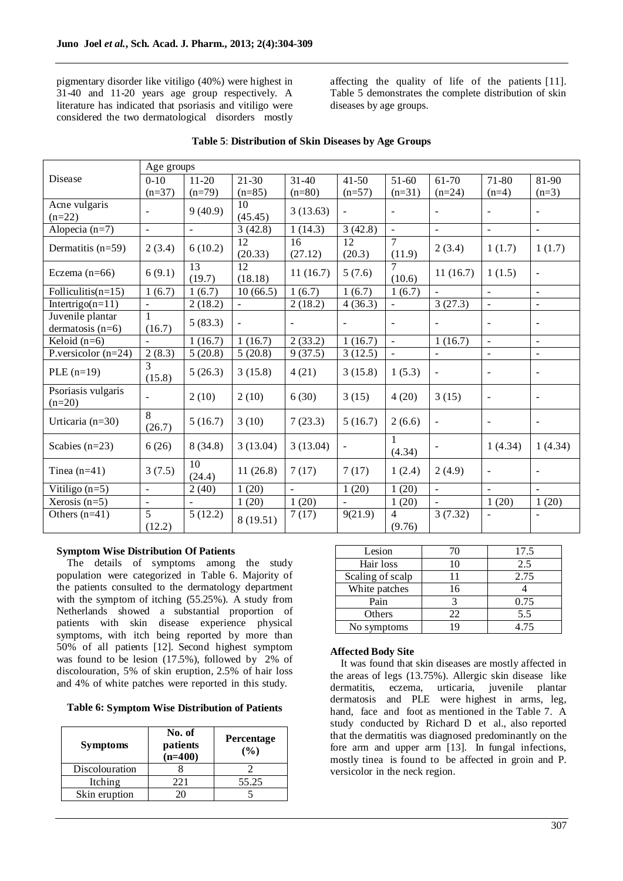pigmentary disorder like vitiligo (40%) were highest in 31-40 and 11-20 years age group respectively. A literature has indicated that psoriasis and vitiligo were considered the two dermatological disorders mostly

affecting the quality of life of the patients [11]. Table 5 demonstrates the complete distribution of skin diseases by age groups.

|                                        | Age groups               |              |                |                          |                              |                          |                          |                          |                          |
|----------------------------------------|--------------------------|--------------|----------------|--------------------------|------------------------------|--------------------------|--------------------------|--------------------------|--------------------------|
| Disease                                | $0-10$                   | $11-20$      | $21 - 30$      | $31 - 40$                | $41 - 50$                    | $51-60$                  | 61-70                    | 71-80                    | 81-90                    |
|                                        | $(n=37)$                 | $(n=79)$     | $(n=85)$       | $(n=80)$                 | $(n=57)$                     | $(n=31)$                 | $(n=24)$                 | $(n=4)$                  | $(n=3)$                  |
| Acne vulgaris<br>$(n=22)$              |                          | 9(40.9)      | 10<br>(45.45)  | 3(13.63)                 | $\overline{\phantom{0}}$     | $\overline{\phantom{a}}$ | $\overline{\phantom{a}}$ |                          | $\overline{\phantom{a}}$ |
| Alopecia $(n=7)$                       | $\overline{\phantom{a}}$ |              | 3(42.8)        | 1(14.3)                  | 3(42.8)                      | $\blacksquare$           | $\overline{\phantom{a}}$ | $\equiv$                 | $\omega$                 |
| Dermatitis $(n=59)$                    | 2(3.4)                   | 6(10.2)      | 12<br>(20.33)  | 16<br>(27.12)            | 12<br>(20.3)                 | $\tau$<br>(11.9)         | 2(3.4)                   | 1(1.7)                   | 1(1.7)                   |
| Eczema $(n=66)$                        | 6(9.1)                   | 13<br>(19.7) | 12<br>(18.18)  | 11(16.7)                 | 5(7.6)                       | (10.6)                   | 11(16.7)                 | 1(1.5)                   | $\blacksquare$           |
| Folliculitis( $n=15$ )                 | 1(6.7)                   | 1(6.7)       | 10(66.5)       | 1(6.7)                   | 1(6.7)                       | 1(6.7)                   |                          |                          | $\blacksquare$           |
| Intertrigo $(n=11)$                    | ÷,                       | 2(18.2)      | $\blacksquare$ | 2(18.2)                  | 4(36.3)                      | $\blacksquare$           | 3(27.3)                  | $\blacksquare$           | $\overline{\phantom{a}}$ |
| Juvenile plantar<br>dermatosis $(n=6)$ | 1<br>(16.7)              | 5(83.3)      | $\blacksquare$ | $\overline{\phantom{a}}$ | $\qquad \qquad \blacksquare$ | $\blacksquare$           | $\overline{\phantom{a}}$ | $\overline{\phantom{a}}$ | $\overline{\phantom{a}}$ |
| Keloid $(n=6)$                         |                          | 1(16.7)      | 1(16.7)        | 2(33.2)                  | 1(16.7)                      | $\mathcal{L}$            | 1(16.7)                  | $\bar{\phantom{a}}$      | $\overline{\phantom{a}}$ |
| P.versicolor $(n=24)$                  | 2(8.3)                   | 5(20.8)      | 5(20.8)        | 9(37.5)                  | 3(12.5)                      | $\blacksquare$           | $\blacksquare$           | $\blacksquare$           | $\equiv$                 |
| PLE $(n=19)$                           | $\mathcal{R}$<br>(15.8)  | 5(26.3)      | 3(15.8)        | 4(21)                    | 3(15.8)                      | 1(5.3)                   | $\blacksquare$           | $\overline{\phantom{a}}$ | $\blacksquare$           |
| Psoriasis vulgaris<br>$(n=20)$         |                          | 2(10)        | 2(10)          | 6(30)                    | 3(15)                        | 4(20)                    | 3(15)                    | $\overline{\phantom{a}}$ |                          |
| Urticaria $(n=30)$                     | 8<br>(26.7)              | 5(16.7)      | 3(10)          | 7(23.3)                  | 5(16.7)                      | 2(6.6)                   | $\blacksquare$           | $\overline{a}$           | $\blacksquare$           |
| Scabies $(n=23)$                       | 6(26)                    | 8(34.8)      | 3(13.04)       | 3(13.04)                 | $\qquad \qquad \blacksquare$ | 1<br>(4.34)              |                          | 1(4.34)                  | 1(4.34)                  |
| Tinea $(n=41)$                         | 3(7.5)                   | 10<br>(24.4) | 11(26.8)       | 7(17)                    | 7(17)                        | 1(2.4)                   | 2(4.9)                   | $\blacksquare$           |                          |
| Vitiligo $(n=5)$                       | ÷,                       | 2(40)        | 1(20)          | $\sim$                   | 1(20)                        | 1(20)                    | $\blacksquare$           | $\blacksquare$           | $\sim$                   |
| Xerosis $(n=5)$                        |                          |              | 1(20)          | 1(20)                    |                              | 1(20)                    |                          | 1(20)                    | 1(20)                    |
| Others $(n=41)$                        | 5<br>(12.2)              | 5(12.2)      | 8 (19.51)      | 7(17)                    | 9(21.9)                      | $\overline{4}$<br>(9.76) | 3(7.32)                  |                          |                          |

# **Table 5**: **Distribution of Skin Diseases by Age Groups**

# **Symptom Wise Distribution Of Patients**

The details of symptoms among the study population were categorized in Table 6. Majority of the patients consulted to the dermatology department with the symptom of itching (55.25%). A study from Netherlands showed a substantial proportion of patients with skin disease experience physical symptoms, with itch being reported by more than 50% of all patients [12]. Second highest symptom was found to be lesion (17.5%), followed by 2% of discolouration, 5% of skin eruption, 2.5% of hair loss and 4% of white patches were reported in this study.

### **Table 6: Symptom Wise Distribution of Patients**

| <b>Symptoms</b> | No. of<br>patients<br>$(n=400)$ | <b>Percentage</b><br>(%) |
|-----------------|---------------------------------|--------------------------|
| Discolouration  |                                 |                          |
| Itching         | 22.1                            | 55.25                    |
| Skin eruption   |                                 |                          |

| Lesion           | 70 | 17.5 |
|------------------|----|------|
| Hair loss        | 10 | 2.5  |
| Scaling of scalp |    | 2.75 |
| White patches    | 16 |      |
| Pain             |    | 0.75 |
| Others           | 22 | 5.5  |
| No symptoms      | 19 | 4.75 |

### **Affected Body Site**

It was found that skin diseases are mostly affected in the areas of legs (13.75%). Allergic skin disease like dermatitis, eczema, urticaria, juvenile plantar dermatosis and PLE were highest in arms, leg, hand, face and foot as mentioned in the Table 7. A study conducted by Richard D et al., also reported that the dermatitis was diagnosed predominantly on the fore arm and upper arm [13]. In fungal infections, mostly tinea is found to be affected in groin and P. versicolor in the neck region.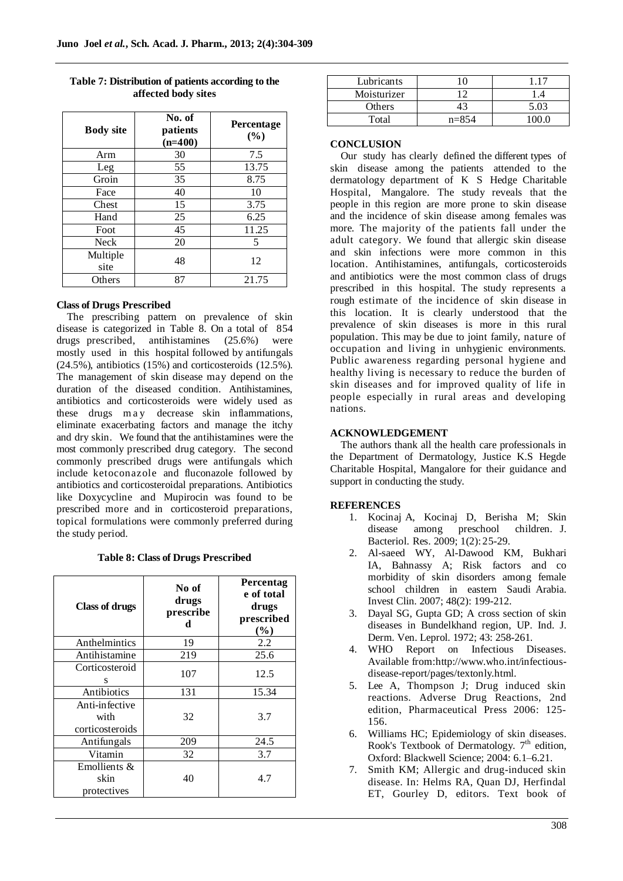| <b>Body site</b> | No. of<br>patients<br>$(n=400)$ | Percentage<br>(%) |
|------------------|---------------------------------|-------------------|
| Arm              | 30                              | 7.5               |
| Leg              | 55                              | 13.75             |
| Groin            | 35                              | 8.75              |
| Face             | 40                              | 10                |
| Chest            | 15                              | 3.75              |
| Hand             | 25                              | 6.25              |
| Foot             | 45                              | 11.25             |
| <b>Neck</b>      | 20                              | 5                 |
| Multiple<br>site | 48                              | 12                |
| Others           | 87                              | 21.75             |

**Table 7: Distribution of patients according to the affected body sites**

#### **Class of Drugs Prescribed**

The prescribing pattern on prevalence of skin disease is categorized in Table 8. On a total of 854 drugs prescribed, antihistamines (25.6%) were mostly used in this hospital followed by antifungals  $(24.5\%)$ , antibiotics  $(15\%)$  and corticosteroids  $(12.5\%)$ . The management of skin disease may depend on the duration of the diseased condition. Antihistamines, antibiotics and corticosteroids were widely used as these drugs may decrease skin inflammations, eliminate exacerbating factors and manage the itchy and dry skin. We found that the antihistamines were the most commonly prescribed drug category. The second commonly prescribed drugs were antifungals which include ketoconazole and fluconazole followed by antibiotics and corticosteroidal preparations. Antibiotics like Doxycycline and Mupirocin was found to be prescribed more and in corticosteroid preparations, topical formulations were commonly preferred during the study period.

**Table 8: Class of Drugs Prescribed**

| <b>Class of drugs</b>                     | No of<br>drugs<br>prescribe<br>d | Percentag<br>e of total<br>drugs<br>prescribed<br>$(\%)$ |
|-------------------------------------------|----------------------------------|----------------------------------------------------------|
| Anthelmintics                             | 19                               | 2.2                                                      |
| Antihistamine                             | 219                              | 25.6                                                     |
| Corticosteroid<br>S                       | 107                              | 12.5                                                     |
| Antibiotics                               | 131                              | 15.34                                                    |
| Anti-infective<br>with<br>corticosteroids | 32                               | 3.7                                                      |
| Antifungals                               | 209                              | 24.5                                                     |
| Vitamin                                   | 32                               | 3.7                                                      |
| Emollients &<br>skin<br>protectives       | 40                               | 4.7                                                      |

| Lubricants  |           |      |
|-------------|-----------|------|
| Moisturizer | ◠         |      |
| Others      |           | 5.03 |
| Total       | $n = 854$ |      |

#### **CONCLUSION**

Our study has clearly defined the different types of skin disease among the patients attended to the dermatology department of K S Hedge Charitable Hospital, Mangalore. The study reveals that the people in this region are more prone to skin disease and the incidence of skin disease among females was more. The majority of the patients fall under the adult category. We found that allergic skin disease and skin infections were more common in this location. Antihistamines, antifungals, corticosteroids and antibiotics were the most common class of drugs prescribed in this hospital. The study represents a rough estimate of the incidence of skin disease in this location. It is clearly understood that the prevalence of skin diseases is more in this rural population. This may be due to joint family, nature of occupation and living in unhygienic environments. Public awareness regarding personal hygiene and healthy living is necessary to reduce the burden of skin diseases and for improved quality of life in people especially in rural areas and developing nations.

## **ACKNOWLEDGEMENT**

The authors thank all the health care professionals in the Department of Dermatology, Justice K.S Hegde Charitable Hospital, Mangalore for their guidance and support in conducting the study.

#### **REFERENCES**

- 1. Kocinaj A, Kocinaj D, Berisha M; Skin disease among preschool children. J. Bacteriol. Res. 2009; 1(2): 25-29.
- 2. Al-saeed WY, Al-Dawood KM, Bukhari IA, Bahnassy A; Risk factors and co morbidity of skin disorders among female school children in eastern Saudi Arabia. Invest Clin. 2007; 48(2): 199-212.
- 3. Dayal SG, Gupta GD; A cross section of skin diseases in Bundelkhand region, UP. Ind. J. Derm. Ven. Leprol. 1972; 43: 258-261.
- 4. WHO Report on Infectious Diseases. Available from[:http://www.who.int/infectious](http://www.who.int/infectious-disease-report/pages/textonly.html)[disease-report/pages/textonly.html.](http://www.who.int/infectious-disease-report/pages/textonly.html)
- 5. [Lee](http://osha.europa.eu/en/publications/reports/TE7007049ENC-Skin-disease) A, Thompson J; Drug induced skin reactions. Adverse Drug Reactions, 2nd edition, Pharmaceutical Press 2006: 125- 156.
- 6. Williams HC; Epidemiology of skin diseases. Rook's Textbook of Dermatology. 7<sup>th</sup> edition, Oxford: Blackwell Science; 2004: 6.1–6.21.
- 7. Smith KM; Allergic and drug-induced skin disease. In: Helms RA, Quan DJ, Herfindal ET, Gourley D, editors. Text book of